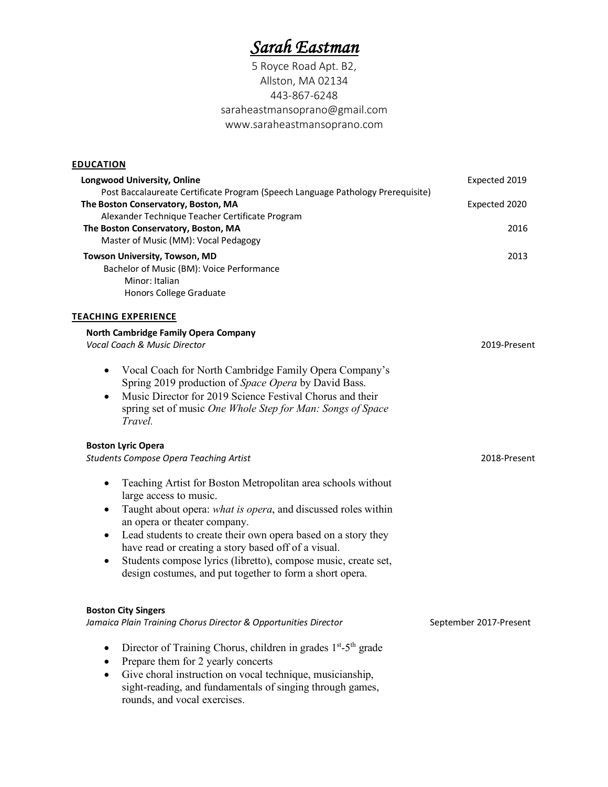# *Sarah Eastman*

5 Royce Road Apt. B2, Allston, MA 02134 443-867-6248 saraheastmansoprano@gmail.com www.saraheastmansoprano.com

# **EDUCATION**

| <b>Longwood University, Online</b>                                                                                                 | Expected 2019          |
|------------------------------------------------------------------------------------------------------------------------------------|------------------------|
| Post Baccalaureate Certificate Program (Speech Language Pathology Prerequisite)<br>The Boston Conservatory, Boston, MA             | Expected 2020          |
| Alexander Technique Teacher Certificate Program                                                                                    |                        |
| The Boston Conservatory, Boston, MA                                                                                                | 2016                   |
| Master of Music (MM): Vocal Pedagogy                                                                                               |                        |
| Towson University, Towson, MD                                                                                                      | 2013                   |
| Bachelor of Music (BM): Voice Performance                                                                                          |                        |
| Minor: Italian                                                                                                                     |                        |
| Honors College Graduate                                                                                                            |                        |
| <b>TEACHING EXPERIENCE</b>                                                                                                         |                        |
| North Cambridge Family Opera Company                                                                                               |                        |
| Vocal Coach & Music Director                                                                                                       | 2019-Present           |
| Vocal Coach for North Cambridge Family Opera Company's<br>٠                                                                        |                        |
| Spring 2019 production of Space Opera by David Bass.                                                                               |                        |
| Music Director for 2019 Science Festival Chorus and their<br>$\bullet$                                                             |                        |
| spring set of music One Whole Step for Man: Songs of Space                                                                         |                        |
| Travel.                                                                                                                            |                        |
| <b>Boston Lyric Opera</b>                                                                                                          |                        |
| <b>Students Compose Opera Teaching Artist</b>                                                                                      | 2018-Present           |
| Teaching Artist for Boston Metropolitan area schools without<br>$\bullet$                                                          |                        |
| large access to music.                                                                                                             |                        |
| Taught about opera: what is opera, and discussed roles within<br>$\bullet$                                                         |                        |
| an opera or theater company.                                                                                                       |                        |
| Lead students to create their own opera based on a story they<br>$\bullet$<br>have read or creating a story based off of a visual. |                        |
| Students compose lyrics (libretto), compose music, create set,<br>$\bullet$                                                        |                        |
| design costumes, and put together to form a short opera.                                                                           |                        |
|                                                                                                                                    |                        |
| <b>Boston City Singers</b>                                                                                                         |                        |
| Jamaica Plain Training Chorus Director & Opportunities Director                                                                    | September 2017-Present |
| Director of Training Chorus, children in grades 1 <sup>st</sup> -5 <sup>th</sup> grade<br>$\bullet$                                |                        |
| Prepare them for 2 yearly concerts<br>$\bullet$                                                                                    |                        |
| Give choral instruction on vocal technique, musicianship,<br>$\bullet$                                                             |                        |
| sight-reading, and fundamentals of singing through games,                                                                          |                        |

rounds, and vocal exercises.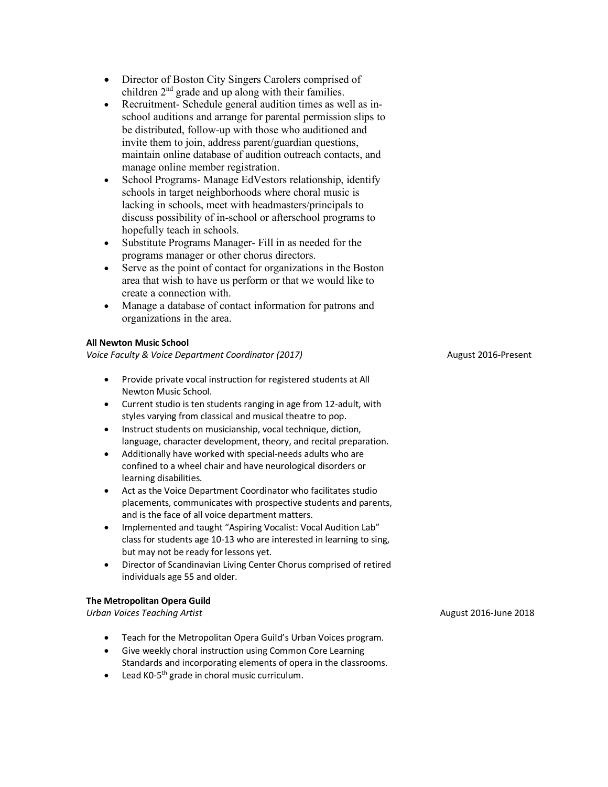- Director of Boston City Singers Carolers comprised of children  $2<sup>nd</sup>$  grade and up along with their families.
- Recruitment- Schedule general audition times as well as inschool auditions and arrange for parental permission slips to be distributed, follow-up with those who auditioned and invite them to join, address parent/guardian questions, maintain online database of audition outreach contacts, and manage online member registration.
- School Programs- Manage EdVestors relationship, identify schools in target neighborhoods where choral music is lacking in schools, meet with headmasters/principals to discuss possibility of in-school or afterschool programs to hopefully teach in schools.
- Substitute Programs Manager- Fill in as needed for the programs manager or other chorus directors.
- Serve as the point of contact for organizations in the Boston area that wish to have us perform or that we would like to create a connection with.
- Manage a database of contact information for patrons and organizations in the area.

## **All Newton Music School**

*Voice Faculty & Voice Department Coordinator (2017)* August 2016-Present

- Provide private vocal instruction for registered students at All Newton Music School.
- Current studio is ten students ranging in age from 12-adult, with styles varying from classical and musical theatre to pop.
- Instruct students on musicianship, vocal technique, diction, language, character development, theory, and recital preparation.
- Additionally have worked with special-needs adults who are confined to a wheel chair and have neurological disorders or learning disabilities.
- Act as the Voice Department Coordinator who facilitates studio placements, communicates with prospective students and parents, and is the face of all voice department matters.
- Implemented and taught "Aspiring Vocalist: Vocal Audition Lab" class for students age 10-13 who are interested in learning to sing, but may not be ready for lessons yet.
- Director of Scandinavian Living Center Chorus comprised of retired individuals age 55 and older.

## **The Metropolitan Opera Guild**

*Urban Voices Teaching Artist*August 2016-June 2018

- Teach for the Metropolitan Opera Guild's Urban Voices program.
- Give weekly choral instruction using Common Core Learning Standards and incorporating elements of opera in the classrooms.
- Lead  $KO-5<sup>th</sup>$  grade in choral music curriculum.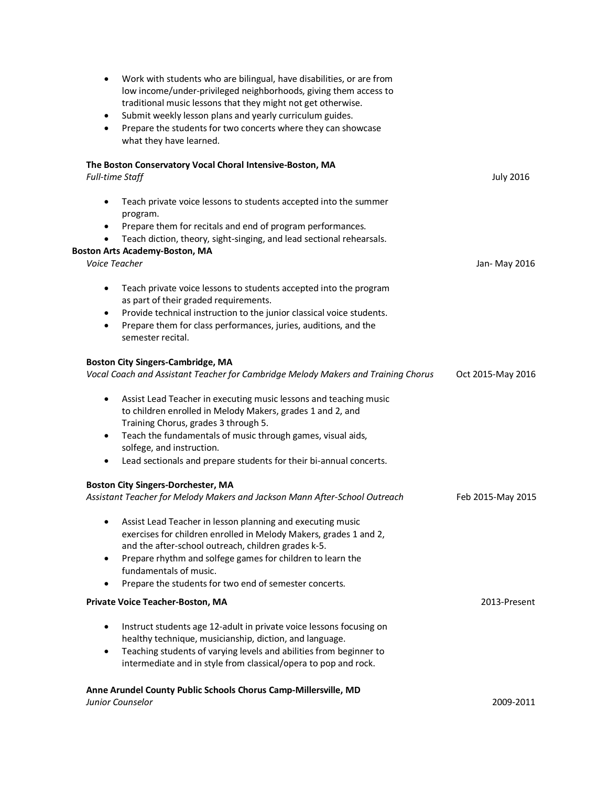| $\bullet$ | Work with students who are bilingual, have disabilities, or are from<br>low income/under-privileged neighborhoods, giving them access to<br>traditional music lessons that they might not get otherwise. |                   |
|-----------|----------------------------------------------------------------------------------------------------------------------------------------------------------------------------------------------------------|-------------------|
| ٠         | Submit weekly lesson plans and yearly curriculum guides.                                                                                                                                                 |                   |
| $\bullet$ | Prepare the students for two concerts where they can showcase                                                                                                                                            |                   |
|           | what they have learned.                                                                                                                                                                                  |                   |
|           | The Boston Conservatory Vocal Choral Intensive-Boston, MA                                                                                                                                                |                   |
|           | <b>Full-time Staff</b>                                                                                                                                                                                   | <b>July 2016</b>  |
| $\bullet$ | Teach private voice lessons to students accepted into the summer<br>program.                                                                                                                             |                   |
| $\bullet$ | Prepare them for recitals and end of program performances.                                                                                                                                               |                   |
| $\bullet$ | Teach diction, theory, sight-singing, and lead sectional rehearsals.                                                                                                                                     |                   |
|           | <b>Boston Arts Academy-Boston, MA</b><br>Voice Teacher                                                                                                                                                   | Jan- May 2016     |
| $\bullet$ |                                                                                                                                                                                                          |                   |
|           | Teach private voice lessons to students accepted into the program<br>as part of their graded requirements.                                                                                               |                   |
| $\bullet$ | Provide technical instruction to the junior classical voice students.                                                                                                                                    |                   |
| ٠         | Prepare them for class performances, juries, auditions, and the                                                                                                                                          |                   |
|           | semester recital.                                                                                                                                                                                        |                   |
|           | <b>Boston City Singers-Cambridge, MA</b>                                                                                                                                                                 |                   |
|           | Vocal Coach and Assistant Teacher for Cambridge Melody Makers and Training Chorus                                                                                                                        | Oct 2015-May 2016 |
| $\bullet$ | Assist Lead Teacher in executing music lessons and teaching music<br>to children enrolled in Melody Makers, grades 1 and 2, and<br>Training Chorus, grades 3 through 5.                                  |                   |
| $\bullet$ | Teach the fundamentals of music through games, visual aids,<br>solfege, and instruction.                                                                                                                 |                   |
| $\bullet$ | Lead sectionals and prepare students for their bi-annual concerts.                                                                                                                                       |                   |
|           | <b>Boston City Singers-Dorchester, MA</b>                                                                                                                                                                |                   |
|           | Assistant Teacher for Melody Makers and Jackson Mann After-School Outreach                                                                                                                               | Feb 2015-May 2015 |
|           | Assist Lead Teacher in lesson planning and executing music<br>exercises for children enrolled in Melody Makers, grades 1 and 2,                                                                          |                   |
|           | and the after-school outreach, children grades k-5.                                                                                                                                                      |                   |
| ٠         | Prepare rhythm and solfege games for children to learn the                                                                                                                                               |                   |
| ٠         | fundamentals of music.<br>Prepare the students for two end of semester concerts.                                                                                                                         |                   |
|           | Private Voice Teacher-Boston, MA                                                                                                                                                                         | 2013-Present      |
|           |                                                                                                                                                                                                          |                   |
| $\bullet$ | Instruct students age 12-adult in private voice lessons focusing on                                                                                                                                      |                   |
|           | healthy technique, musicianship, diction, and language.                                                                                                                                                  |                   |
| $\bullet$ | Teaching students of varying levels and abilities from beginner to<br>intermediate and in style from classical/opera to pop and rock.                                                                    |                   |
|           |                                                                                                                                                                                                          |                   |
|           | Anne Arundel County Public Schools Chorus Camp-Millersville, MD                                                                                                                                          |                   |
|           | Junior Counselor                                                                                                                                                                                         | 2009-2011         |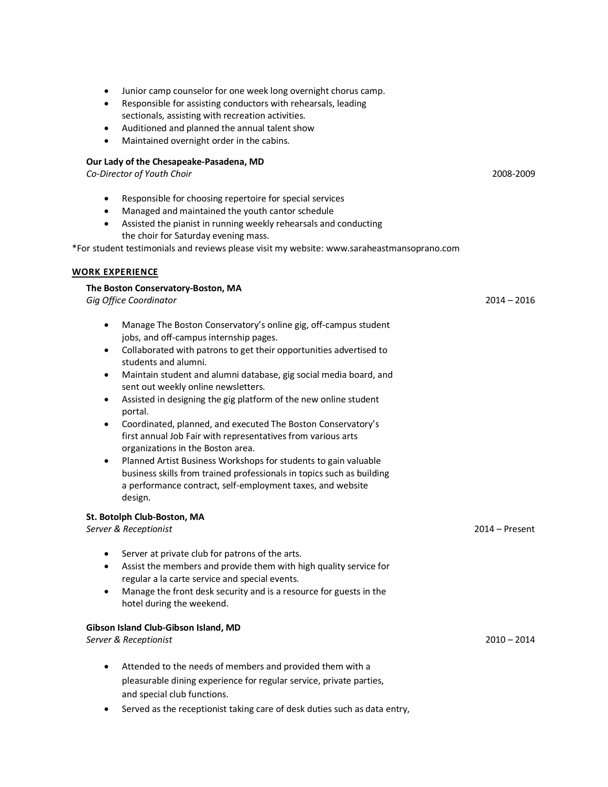- Junior camp counselor for one week long overnight chorus camp.
- Responsible for assisting conductors with rehearsals, leading sectionals, assisting with recreation activities.
- Auditioned and planned the annual talent show
- Maintained overnight order in the cabins.

# **Our Lady of the Chesapeake-Pasadena, MD**

*Co-Director of Youth Choir* 2008-2009

- Responsible for choosing repertoire for special services
- Managed and maintained the youth cantor schedule
- Assisted the pianist in running weekly rehearsals and conducting the choir for Saturday evening mass.

\*For student testimonials and reviews please visit my website: www.saraheastmansoprano.com

#### **WORK EXPERIENCE**

#### **The Boston Conservatory-Boston, MA**

*Gig Office Coordinator* 2014 – 2016

- Manage The Boston Conservatory's online gig, off-campus student jobs, and off-campus internship pages.
- Collaborated with patrons to get their opportunities advertised to students and alumni.
- Maintain student and alumni database, gig social media board, and sent out weekly online newsletters.
- Assisted in designing the gig platform of the new online student portal.
- Coordinated, planned, and executed The Boston Conservatory's first annual Job Fair with representatives from various arts organizations in the Boston area.
- Planned Artist Business Workshops for students to gain valuable business skills from trained professionals in topics such as building a performance contract, self-employment taxes, and website design.

#### **St. Botolph Club-Boston, MA**

*Server & Receptionist* 2014 – Present

- Server at private club for patrons of the arts.
- Assist the members and provide them with high quality service for regular a la carte service and special events.
- Manage the front desk security and is a resource for guests in the hotel during the weekend.

#### **Gibson Island Club-Gibson Island, MD**

*Server & Receptionist* 2010 – 2014

- Attended to the needs of members and provided them with a pleasurable dining experience for regular service, private parties, and special club functions.
- Served as the receptionist taking care of desk duties such as data entry,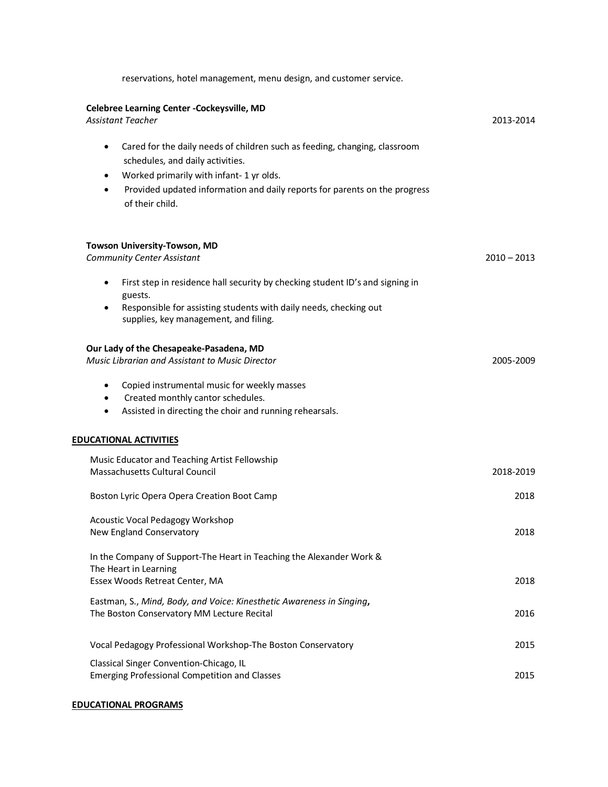| reservations, hotel management, menu design, and customer service.                                                                                                                                                                                                                                |               |
|---------------------------------------------------------------------------------------------------------------------------------------------------------------------------------------------------------------------------------------------------------------------------------------------------|---------------|
| Celebree Learning Center -Cockeysville, MD<br><b>Assistant Teacher</b>                                                                                                                                                                                                                            | 2013-2014     |
| Cared for the daily needs of children such as feeding, changing, classroom<br>$\bullet$<br>schedules, and daily activities.<br>Worked primarily with infant-1 yr olds.<br>$\bullet$<br>Provided updated information and daily reports for parents on the progress<br>$\bullet$<br>of their child. |               |
| Towson University-Towson, MD<br><b>Community Center Assistant</b>                                                                                                                                                                                                                                 | $2010 - 2013$ |
| First step in residence hall security by checking student ID's and signing in<br>$\bullet$<br>guests.<br>Responsible for assisting students with daily needs, checking out<br>supplies, key management, and filing.                                                                               |               |
| Our Lady of the Chesapeake-Pasadena, MD<br>Music Librarian and Assistant to Music Director                                                                                                                                                                                                        | 2005-2009     |
| Copied instrumental music for weekly masses<br>$\bullet$<br>Created monthly cantor schedules.<br>$\bullet$<br>Assisted in directing the choir and running rehearsals.<br>٠                                                                                                                        |               |
| <b>EDUCATIONAL ACTIVITIES</b>                                                                                                                                                                                                                                                                     |               |
| Music Educator and Teaching Artist Fellowship<br>Massachusetts Cultural Council                                                                                                                                                                                                                   | 2018-2019     |
| Boston Lyric Opera Opera Creation Boot Camp                                                                                                                                                                                                                                                       | 2018          |
| Acoustic Vocal Pedagogy Workshop<br>New England Conservatory                                                                                                                                                                                                                                      | 2018          |
| In the Company of Support-The Heart in Teaching the Alexander Work &<br>The Heart in Learning                                                                                                                                                                                                     |               |
| Essex Woods Retreat Center, MA                                                                                                                                                                                                                                                                    | 2018          |
| Eastman, S., Mind, Body, and Voice: Kinesthetic Awareness in Singing,<br>The Boston Conservatory MM Lecture Recital                                                                                                                                                                               | 2016          |
| Vocal Pedagogy Professional Workshop-The Boston Conservatory                                                                                                                                                                                                                                      | 2015          |
| Classical Singer Convention-Chicago, IL<br><b>Emerging Professional Competition and Classes</b>                                                                                                                                                                                                   | 2015          |

# **EDUCATIONAL PROGRAMS**